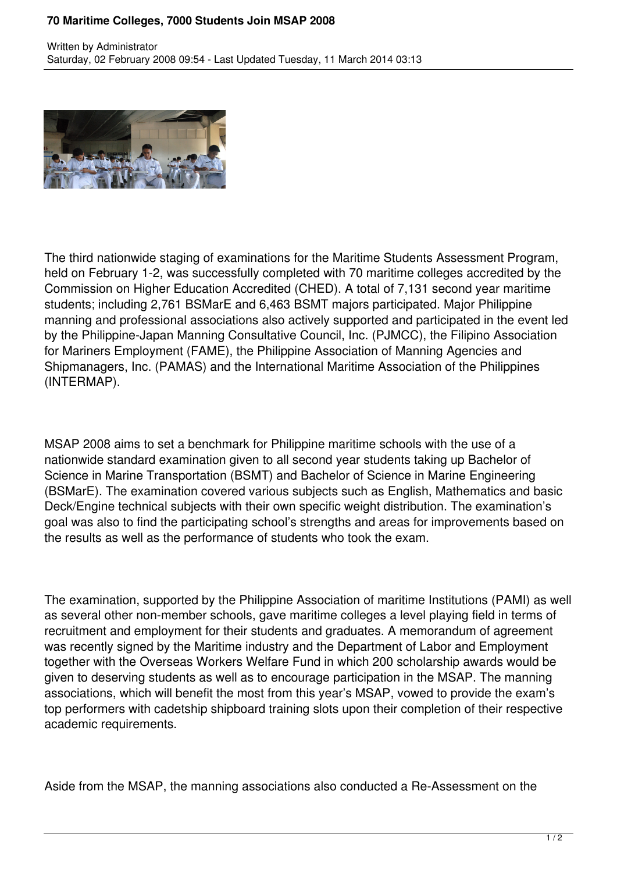## **70 Maritime Colleges, 7000 Students Join MSAP 2008**



The third nationwide staging of examinations for the Maritime Students Assessment Program, held on February 1-2, was successfully completed with 70 maritime colleges accredited by the Commission on Higher Education Accredited (CHED). A total of 7,131 second year maritime students; including 2,761 BSMarE and 6,463 BSMT majors participated. Major Philippine manning and professional associations also actively supported and participated in the event led by the Philippine-Japan Manning Consultative Council, Inc. (PJMCC), the Filipino Association for Mariners Employment (FAME), the Philippine Association of Manning Agencies and Shipmanagers, Inc. (PAMAS) and the International Maritime Association of the Philippines (INTERMAP).

MSAP 2008 aims to set a benchmark for Philippine maritime schools with the use of a nationwide standard examination given to all second year students taking up Bachelor of Science in Marine Transportation (BSMT) and Bachelor of Science in Marine Engineering (BSMarE). The examination covered various subjects such as English, Mathematics and basic Deck/Engine technical subjects with their own specific weight distribution. The examination's goal was also to find the participating school's strengths and areas for improvements based on the results as well as the performance of students who took the exam.

The examination, supported by the Philippine Association of maritime Institutions (PAMI) as well as several other non-member schools, gave maritime colleges a level playing field in terms of recruitment and employment for their students and graduates. A memorandum of agreement was recently signed by the Maritime industry and the Department of Labor and Employment together with the Overseas Workers Welfare Fund in which 200 scholarship awards would be given to deserving students as well as to encourage participation in the MSAP. The manning associations, which will benefit the most from this year's MSAP, vowed to provide the exam's top performers with cadetship shipboard training slots upon their completion of their respective academic requirements.

Aside from the MSAP, the manning associations also conducted a Re-Assessment on the